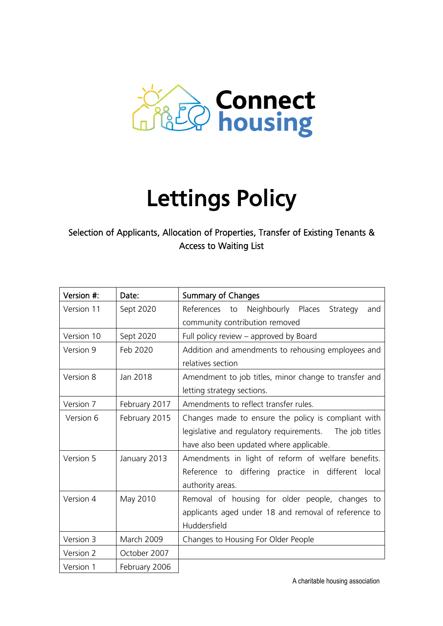

# Lettings Policy

# Selection of Applicants, Allocation of Properties, Transfer of Existing Tenants & Access to Waiting List

| Version #:                | Date:                                                 | <b>Summary of Changes</b>                               |
|---------------------------|-------------------------------------------------------|---------------------------------------------------------|
| Version 11                | Sept 2020                                             | Neighbourly Places<br>References to<br>Strategy<br>and  |
|                           |                                                       | community contribution removed                          |
| Version 10                | Sept 2020                                             | Full policy review – approved by Board                  |
| Version 9                 | Feb 2020                                              | Addition and amendments to rehousing employees and      |
|                           |                                                       | relatives section                                       |
| Version 8                 | Amendment to job titles, minor change to transfer and |                                                         |
|                           |                                                       | letting strategy sections.                              |
| Version 7                 | February 2017                                         | Amendments to reflect transfer rules.                   |
| Version 6                 | February 2015                                         | Changes made to ensure the policy is compliant with     |
|                           |                                                       | legislative and regulatory requirements. The job titles |
|                           |                                                       | have also been updated where applicable.                |
| Version 5<br>January 2013 |                                                       | Amendments in light of reform of welfare benefits.      |
|                           |                                                       | Reference to differing practice in different<br>local   |
|                           |                                                       | authority areas.                                        |
| Version 4                 | May 2010                                              | Removal of housing for older people, changes to         |
|                           |                                                       | applicants aged under 18 and removal of reference to    |
|                           |                                                       | Huddersfield                                            |
| Version 3                 | March 2009                                            | Changes to Housing For Older People                     |
| Version 2                 | October 2007                                          |                                                         |
| Version 1                 | February 2006                                         |                                                         |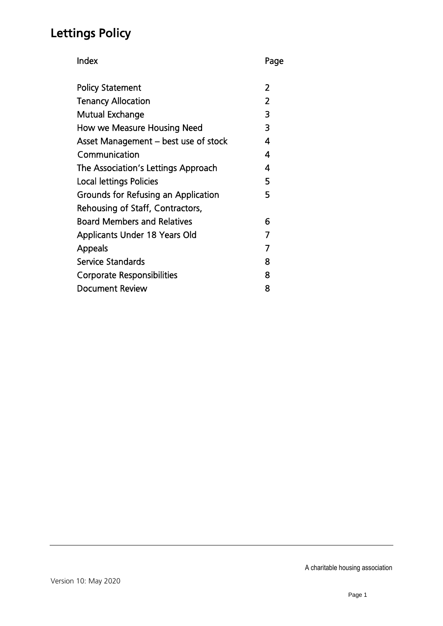# Lettings Policy

Index Page

| <b>Policy Statement</b>              | 2 |
|--------------------------------------|---|
| <b>Tenancy Allocation</b>            | 2 |
| Mutual Exchange                      | 3 |
| How we Measure Housing Need          | 3 |
| Asset Management - best use of stock | 4 |
| Communication                        | 4 |
| The Association's Lettings Approach  | 4 |
| Local lettings Policies              | 5 |
| Grounds for Refusing an Application  | 5 |
| Rehousing of Staff, Contractors,     |   |
| <b>Board Members and Relatives</b>   | 6 |
| <b>Applicants Under 18 Years Old</b> |   |
| <b>Appeals</b>                       |   |
| Service Standards                    | 8 |
| <b>Corporate Responsibilities</b>    | 8 |
| <b>Document Review</b>               | 8 |
|                                      |   |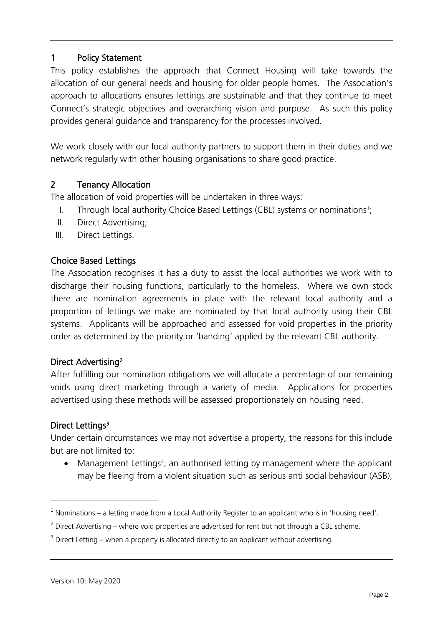# 1 Policy Statement

This policy establishes the approach that Connect Housing will take towards the allocation of our general needs and housing for older people homes. The Association's approach to allocations ensures lettings are sustainable and that they continue to meet Connect's strategic objectives and overarching vision and purpose. As such this policy provides general guidance and transparency for the processes involved.

We work closely with our local authority partners to support them in their duties and we network regularly with other housing organisations to share good practice.

### 2 Tenancy Allocation

The allocation of void properties will be undertaken in three ways:

- I. Through local authority Choice Based Lettings (CBL) systems or nominations<sup>1</sup>;
- II. Direct Advertising;
- III. Direct Lettings.

### Choice Based Lettings

The Association recognises it has a duty to assist the local authorities we work with to discharge their housing functions, particularly to the homeless. Where we own stock there are nomination agreements in place with the relevant local authority and a proportion of lettings we make are nominated by that local authority using their CBL systems. Applicants will be approached and assessed for void properties in the priority order as determined by the priority or 'banding' applied by the relevant CBL authority.

### Direct Advertising<sup>2</sup>

After fulfilling our nomination obligations we will allocate a percentage of our remaining voids using direct marketing through a variety of media. Applications for properties advertised using these methods will be assessed proportionately on housing need.

### Direct Lettings<sup>3</sup>

l

Under certain circumstances we may not advertise a property, the reasons for this include but are not limited to:

• Management Lettings<sup>4</sup>; an authorised letting by management where the applicant may be fleeing from a violent situation such as serious anti social behaviour (ASB),

<sup>&</sup>lt;sup>1</sup> Nominations – a letting made from a Local Authority Register to an applicant who is in 'housing need'.

 $^2$  Direct Advertising – where void properties are advertised for rent but not through a CBL scheme.

 $^3$  Direct Letting – when a property is allocated directly to an applicant without advertising.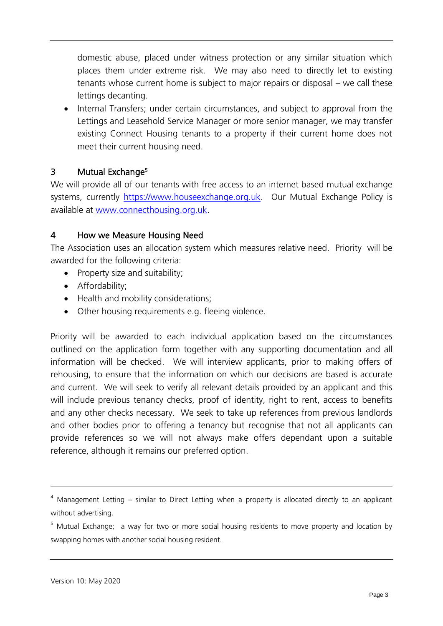domestic abuse, placed under witness protection or any similar situation which places them under extreme risk. We may also need to directly let to existing tenants whose current home is subject to major repairs or disposal – we call these lettings decanting.

• Internal Transfers; under certain circumstances, and subject to approval from the Lettings and Leasehold Service Manager or more senior manager, we may transfer existing Connect Housing tenants to a property if their current home does not meet their current housing need.

### 3 Mutual Exchange<sup>5</sup>

We will provide all of our tenants with free access to an internet based mutual exchange systems, currently [https://www.houseexchange.org.uk.](https://www.houseexchange.org.uk/) Our Mutual Exchange Policy is available at [www.connecthousing.org.uk.](http://www.connecthousing.org.uk/)

#### 4 How we Measure Housing Need

The Association uses an allocation system which measures relative need. Priority will be awarded for the following criteria:

- Property size and suitability;
- Affordability;
- Health and mobility considerations;
- Other housing requirements e.g. fleeing violence.

Priority will be awarded to each individual application based on the circumstances outlined on the application form together with any supporting documentation and all information will be checked. We will interview applicants, prior to making offers of rehousing, to ensure that the information on which our decisions are based is accurate and current. We will seek to verify all relevant details provided by an applicant and this will include previous tenancy checks, proof of identity, right to rent, access to benefits and any other checks necessary. We seek to take up references from previous landlords and other bodies prior to offering a tenancy but recognise that not all applicants can provide references so we will not always make offers dependant upon a suitable reference, although it remains our preferred option.

<sup>4</sup> Management Letting – similar to Direct Letting when a property is allocated directly to an applicant without advertising.

<sup>&</sup>lt;sup>5</sup> Mutual Exchange; a way for two or more social housing residents to move property and location by swapping homes with another social housing resident.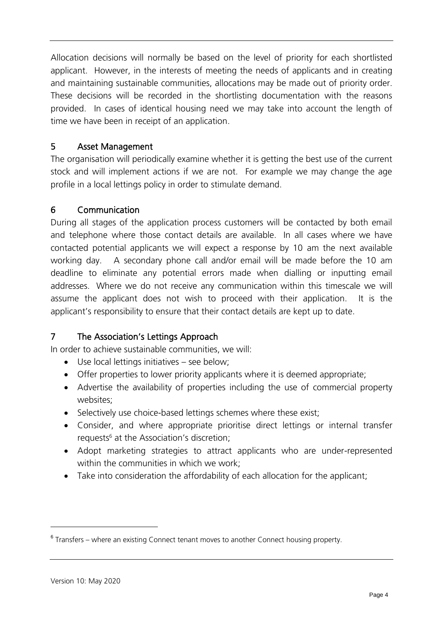Allocation decisions will normally be based on the level of priority for each shortlisted applicant. However, in the interests of meeting the needs of applicants and in creating and maintaining sustainable communities, allocations may be made out of priority order. These decisions will be recorded in the shortlisting documentation with the reasons provided. In cases of identical housing need we may take into account the length of time we have been in receipt of an application.

### 5 Asset Management

The organisation will periodically examine whether it is getting the best use of the current stock and will implement actions if we are not. For example we may change the age profile in a local lettings policy in order to stimulate demand.

# 6 Communication

During all stages of the application process customers will be contacted by both email and telephone where those contact details are available. In all cases where we have contacted potential applicants we will expect a response by 10 am the next available working day. A secondary phone call and/or email will be made before the 10 am deadline to eliminate any potential errors made when dialling or inputting email addresses. Where we do not receive any communication within this timescale we will assume the applicant does not wish to proceed with their application. It is the applicant's responsibility to ensure that their contact details are kept up to date.

# 7 The Association's Lettings Approach

In order to achieve sustainable communities, we will:

- Use local lettings initiatives see below;
- Offer properties to lower priority applicants where it is deemed appropriate;
- Advertise the availability of properties including the use of commercial property websites;
- Selectively use choice-based lettings schemes where these exist;
- Consider, and where appropriate prioritise direct lettings or internal transfer requests<sup>6</sup> at the Association's discretion;
- Adopt marketing strategies to attract applicants who are under-represented within the communities in which we work;
- Take into consideration the affordability of each allocation for the applicant;

<sup>&</sup>lt;sup>6</sup> Transfers – where an existing Connect tenant moves to another Connect housing property.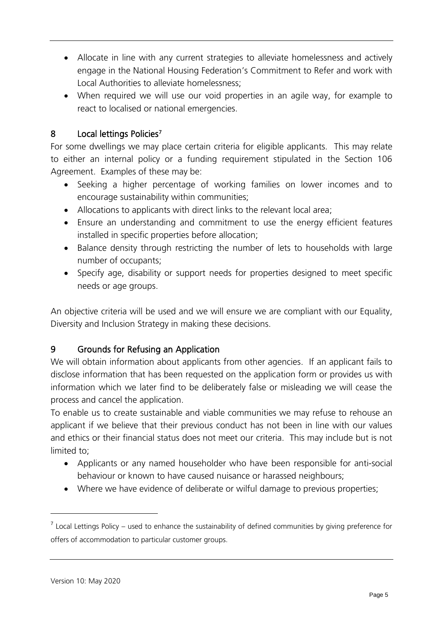- Allocate in line with any current strategies to alleviate homelessness and actively engage in the National Housing Federation's Commitment to Refer and work with Local Authorities to alleviate homelessness;
- When required we will use our void properties in an agile way, for example to react to localised or national emergencies.

# 8 Local lettings Policies<sup>7</sup>

For some dwellings we may place certain criteria for eligible applicants. This may relate to either an internal policy or a funding requirement stipulated in the Section 106 Agreement. Examples of these may be:

- Seeking a higher percentage of working families on lower incomes and to encourage sustainability within communities;
- Allocations to applicants with direct links to the relevant local area;
- Ensure an understanding and commitment to use the energy efficient features installed in specific properties before allocation;
- Balance density through restricting the number of lets to households with large number of occupants;
- Specify age, disability or support needs for properties designed to meet specific needs or age groups.

An objective criteria will be used and we will ensure we are compliant with our Equality, Diversity and Inclusion Strategy in making these decisions.

# 9 Grounds for Refusing an Application

We will obtain information about applicants from other agencies. If an applicant fails to disclose information that has been requested on the application form or provides us with information which we later find to be deliberately false or misleading we will cease the process and cancel the application.

To enable us to create sustainable and viable communities we may refuse to rehouse an applicant if we believe that their previous conduct has not been in line with our values and ethics or their financial status does not meet our criteria. This may include but is not limited to;

- Applicants or any named householder who have been responsible for anti-social behaviour or known to have caused nuisance or harassed neighbours;
- Where we have evidence of deliberate or wilful damage to previous properties;

 $<sup>7</sup>$  Local Lettings Policy – used to enhance the sustainability of defined communities by giving preference for</sup> offers of accommodation to particular customer groups.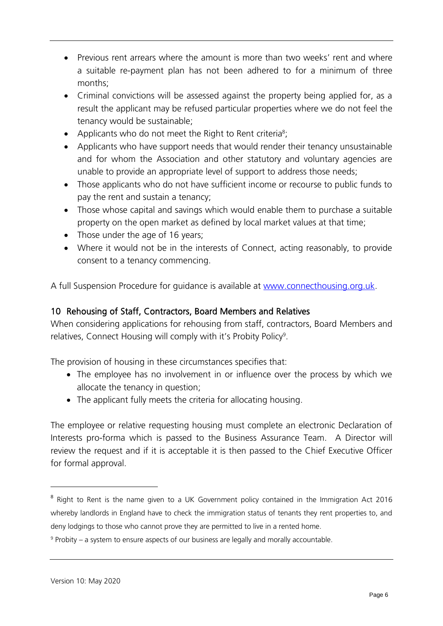- Previous rent arrears where the amount is more than two weeks' rent and where a suitable re-payment plan has not been adhered to for a minimum of three months;
- Criminal convictions will be assessed against the property being applied for, as a result the applicant may be refused particular properties where we do not feel the tenancy would be sustainable;
- Applicants who do not meet the Right to Rent criteria<sup>8</sup>;
- Applicants who have support needs that would render their tenancy unsustainable and for whom the Association and other statutory and voluntary agencies are unable to provide an appropriate level of support to address those needs;
- Those applicants who do not have sufficient income or recourse to public funds to pay the rent and sustain a tenancy;
- Those whose capital and savings which would enable them to purchase a suitable property on the open market as defined by local market values at that time;
- Those under the age of 16 years;
- Where it would not be in the interests of Connect, acting reasonably, to provide consent to a tenancy commencing.

A full Suspension Procedure for guidance is available at [www.connecthousing.org.uk.](http://www.connecthousing.org.uk/)

# 10 Rehousing of Staff, Contractors, Board Members and Relatives

When considering applications for rehousing from staff, contractors, Board Members and relatives, Connect Housing will comply with it's Probity Policy<sup>9</sup>.

The provision of housing in these circumstances specifies that:

- The employee has no involvement in or influence over the process by which we allocate the tenancy in question;
- The applicant fully meets the criteria for allocating housing.

The employee or relative requesting housing must complete an electronic Declaration of Interests pro-forma which is passed to the Business Assurance Team. A Director will review the request and if it is acceptable it is then passed to the Chief Executive Officer for formal approval.

<sup>&</sup>lt;sup>8</sup> Right to Rent is the name given to a UK Government policy contained in the Immigration Act 2016 whereby landlords in England have to check the immigration status of tenants they rent properties to, and deny lodgings to those who cannot prove they are permitted to live in a rented home.

<sup>9</sup> Probity – a system to ensure aspects of our business are legally and morally accountable.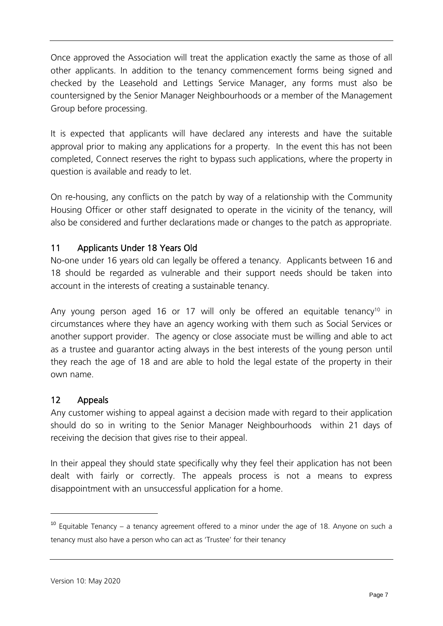Once approved the Association will treat the application exactly the same as those of all other applicants. In addition to the tenancy commencement forms being signed and checked by the Leasehold and Lettings Service Manager, any forms must also be countersigned by the Senior Manager Neighbourhoods or a member of the Management Group before processing.

It is expected that applicants will have declared any interests and have the suitable approval prior to making any applications for a property. In the event this has not been completed, Connect reserves the right to bypass such applications, where the property in question is available and ready to let.

On re-housing, any conflicts on the patch by way of a relationship with the Community Housing Officer or other staff designated to operate in the vicinity of the tenancy, will also be considered and further declarations made or changes to the patch as appropriate.

# 11 Applicants Under 18 Years Old

No-one under 16 years old can legally be offered a tenancy. Applicants between 16 and 18 should be regarded as vulnerable and their support needs should be taken into account in the interests of creating a sustainable tenancy.

Any young person aged 16 or 17 will only be offered an equitable tenancy<sup>10</sup> in circumstances where they have an agency working with them such as Social Services or another support provider. The agency or close associate must be willing and able to act as a trustee and guarantor acting always in the best interests of the young person until they reach the age of 18 and are able to hold the legal estate of the property in their own name.

### 12 Appeals

Any customer wishing to appeal against a decision made with regard to their application should do so in writing to the Senior Manager Neighbourhoods within 21 days of receiving the decision that gives rise to their appeal.

In their appeal they should state specifically why they feel their application has not been dealt with fairly or correctly. The appeals process is not a means to express disappointment with an unsuccessful application for a home.

 $10$  Equitable Tenancy – a tenancy agreement offered to a minor under the age of 18. Anyone on such a tenancy must also have a person who can act as 'Trustee' for their tenancy